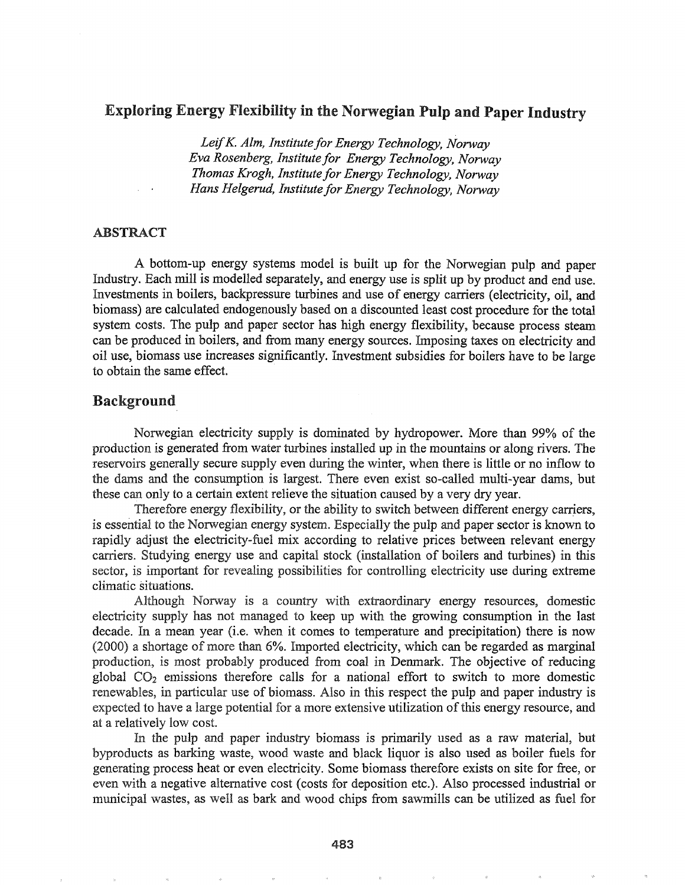# Exploring Energy Flexibility in the Norwegian Pulp and Paper Industry

*LeifK AIm, Institute for Energy Technology, Norway Eva Rosenberg, Institutefor Energy Technology, Norway Thomas Krogh, Institute for Energy Technology, Norway Hans Helgerud, Institute for Energy Technology, Norway*

### ABSTRACT

A bottom-up energy systems model is built up for the Norwegian pulp and paper Industry. Each mill is modelled separately, and energy use is split up by product and end use. Investments in boilers, backpressure turbines and use of energy carriers (electricity, oil, and biomass) are calculated endogenously based on a discounted least cost procedure for the total system costs. The pulp and paper sector has high energy flexibility, because process steam can be produced in boilers, and from many energy sources. Imposing taxes on electricity and oil use, biomass use increases significantly. Investment subsidies for boilers have to be large to obtain the same effect. .

## Background

Norwegian electricity supply is dominated by hydropower. More than 99% of the production is generated from water turbines installed up in the mountains or along rivers. The reservoirs generally secure supply even during the winter, when there is little or no inflow to the dams and the consumption is largest. There even exist so-called multi-year dams, but these can only to a certain extent relieve the situation caused by a very dry year.

Therefore energy flexibility, or the ability to switch between different energy carriers, is essential to the Norwegian energy system. Especially the pulp and paper sector is known to rapidly adjust the electricity-fuel mix according to relative prices between relevant energy carriers. Studying energy use and capital stock (installation of boilers and turbines) in this sector, is important for revealing possibilities for controlling electricity use during extreme climatic situations.

Although Norway is a country with extraordinary energy resources, domestic electricity supply has not managed to keep up with the growing consumption in the last decade. In a mean year (i.e. when it comes to temperature and precipitation) there is now (2000) a shortage of more than 6%. Imported electricity, which can be regarded as marginal production, is most probably produced from coal in Denmark. The objective of reducing global  $CO<sub>2</sub>$  emissions therefore calls for a national effort to switch to more domestic renewables, in particular use of biomass. Also in this respect the pulp and paper industry is expected to have a large potential for a more extensive utilization ofthis energy resource, and at a relatively low cost.

In the pulp and paper industry biomass is primarily used as a raw material, but byproducts as barking waste, wood waste and black liquor is also used as boiler fuels for generating process heat or even electricity. Some biomass therefore exists on site for free, or even with a negative alternative cost (costs for deposition etc.). Also processed industrial or municipal wastes, as well as bark and wood chips from sawmills can be utilized as fuel for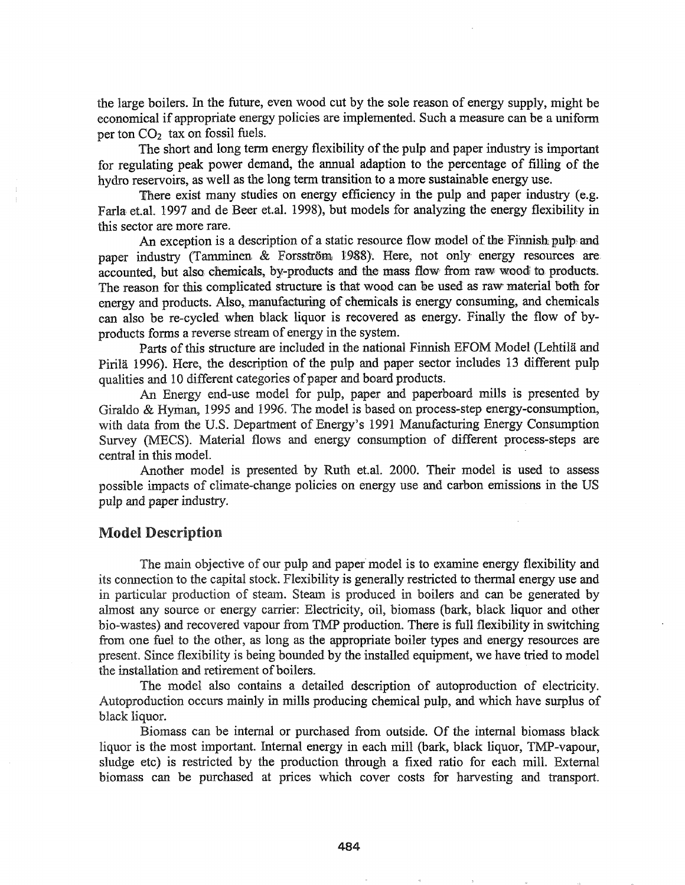the large boilers. In the future, even wood cut by the sole reason of energy supply, might be economical if appropriate energy policies are implemented. Such a measure can be a uniform per ton  $CO<sub>2</sub>$  tax on fossil fuels.

The short and long term energy flexibility of the pulp and paper industry is important for regulating peak power demand, the annual adaption to the percentage of filling of the hydro reservoirs, as well as the long term transition to a more sustainable energy use.

There exist many studies on energy efficiency in the pulp and paper industry (e.g. Farla et.al. 1997 and de Beer et.al. 1998), but models for analyzing the energy flexibility in this sector are more rare.

An exception is a description of a static resource flow model of the Finnish pulp and paper industry (Tamminen & Forsström 1988). Here, not only energy resources are accounted, but also chemicals, by-products and the mass flow from raw wood to products. The reason for this complicated structure is that wood can be used as raw material both for energy and products. Also, manufacturing of chemicals is energy consuming, and chemicals can also be re-cycled, when black liquor is recovered as energy. Finally the flow of byproducts fonns a reverse stream of energy in the system.

Parts of this structure are included in the national Finnish EFOM Model (Lehtilä and Pirila 1996). Here, the description of the pulp and paper sector includes 13 different pulp qualities and 10 different categories of paper and board products.

An Energy end-use model for pulp, paper and paperboard mills is presented by Giraldo & Hyman, 1995 and 1996. The model is based on process-step energy-consumption, with data from the U.S. Department of Energy's 1991 Manufacturing Energy Consumption Survey (MECS). Material flows and energy consumption of different process-steps are central in this model.

Another model is presented by Ruth et.al. 2000. Their model is used to assess possible impacts of climate-change policies on energy use and carbon emissions in the US pulp and paper industry.

#### Model Description

The main objective of our pulp and paper model is to examine energy flexibility and its connection to the capital stock. Flexibility is generally restricted to thermal energy use and in particular production of steam. Steam is produced in boilers and can be generated by almost any source or energy carrier: Electricity, oil, biomass (bark, black liquor and other bio-wastes) and recovered vapour from TMP production. There is full flexibility in switching from one fuel to the other, as long as the appropriate boiler types and energy resources are present. Since flexibility is being bounded by the installed equipment, we have tried to model the installation and retirement of boilers.

The model also contains a detailed description of autoproduction of electricity. Autoproduction occurs mainly in mills producing chemical pulp, and which have surplus of black liquor.

Biomass can be internal or purchased from outside. Of the internal biomass black liquor is the most important. Internal energy in each mill (bark, black liquor, TMP-vapour, sludge etc) is restricted by the production through a fixed ratio for each mill. External biomass can be purchased at prices which cover costs for harvesting and transport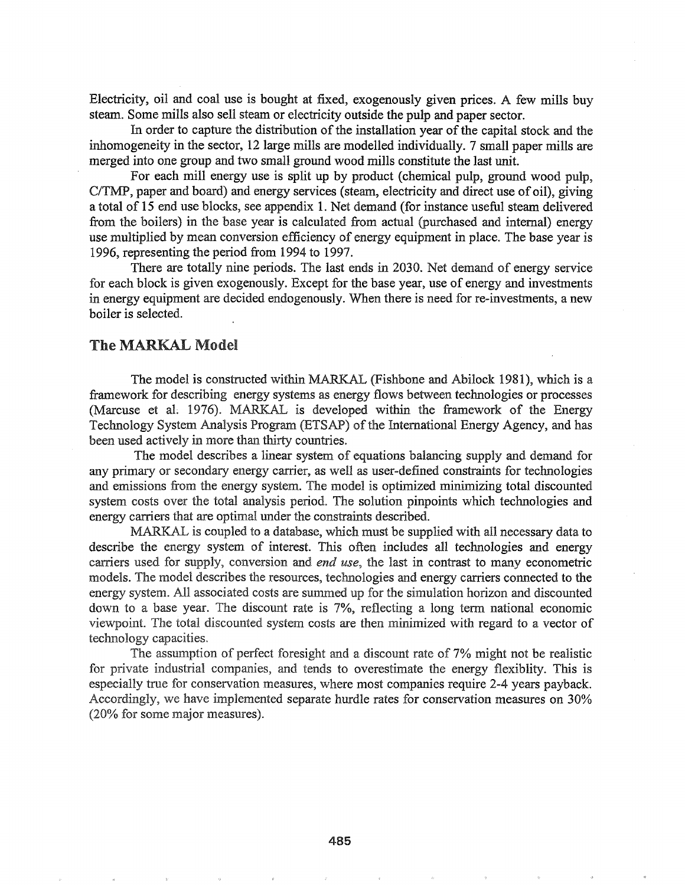Electricity, oil and coal use is bought at fixed, exogenously given prices. A few mills buy steam. Some mills also sell steam or electricity outside the pulp and paper sector.

In order to capture the distribution of the installation year of the capital stock and the inhomogeneity in the sector, 12 large mills are modelled individually. 7 small paper mills are merged into one group and two small ground wood mills constitute the last unit.

For each mill energy use is split up by product (chemical pulp, ground wood pulp, C/TMP, paper and board) and energy services (steam, electricity and direct use of oil), giving a total of 15 end use blocks, see appendix 1. Net demand (for instance useful steam delivered from the boilers) in the base year is calculated from actual (purchased and internal) energy use multiplied by mean conversion efficiency of energy equipment in place. The base year is 1996, representing the period from 1994 to 1997.

There are totally nine periods. The last ends in 2030. Net demand of energy service for each block is given exogenously. Except for the base year, use of energy and investments in energy equipment are decided endogenously. When there is need for re-investments, a new boiler is selected.

## The MARKAL Model

The model is constructed within MARKAL (Fishbone and Abilock 1981), which is a framework for describing energy systems as energy flows between technologies or processes (Marcuse et al. 1976). MARKAL is developed within the framework of the Energy Technology System Analysis Program (ETSAP) of the International Energy Agency, and has been used actively in more than thirty countries.

The model describes a linear system of equations balancing supply and demand for any primary or secondary energy carrier, as well as user-defined constraints for technologies and emissions from the energy system. The model is optimized minimizing total discounted system costs over the total analysis period. The solution pinpoints which technologies and energy carriers that are optimal under the constraints described.

MARKAL is coupled to a database, which must be supplied with all necessary data to describe the energy system of interest. This often includes all technologies and energy carriers used for supply, conversion and *end use*, the last in contrast to many econometric models. The model describes the resources, technologies and energy carriers connected to the energy system. All associated costs are summed up for the simulation horizon and discounted down to a base year. The discount rate is 7%, reflecting a long term national economic viewpoint. The total discounted system costs are then minimized with regard to a vector of technology capacities.

The assumption of perfect foresight and a discount rate of 7% might not be realistic for private industrial companies, and tends to overestimate the energy flexibility. This is especially true for conservation measures, where most companies require 2-4 years payback. Accordingly, we have implemented separate hurdle rates for conservation measures on 30%  $(20\%$  for some major measures).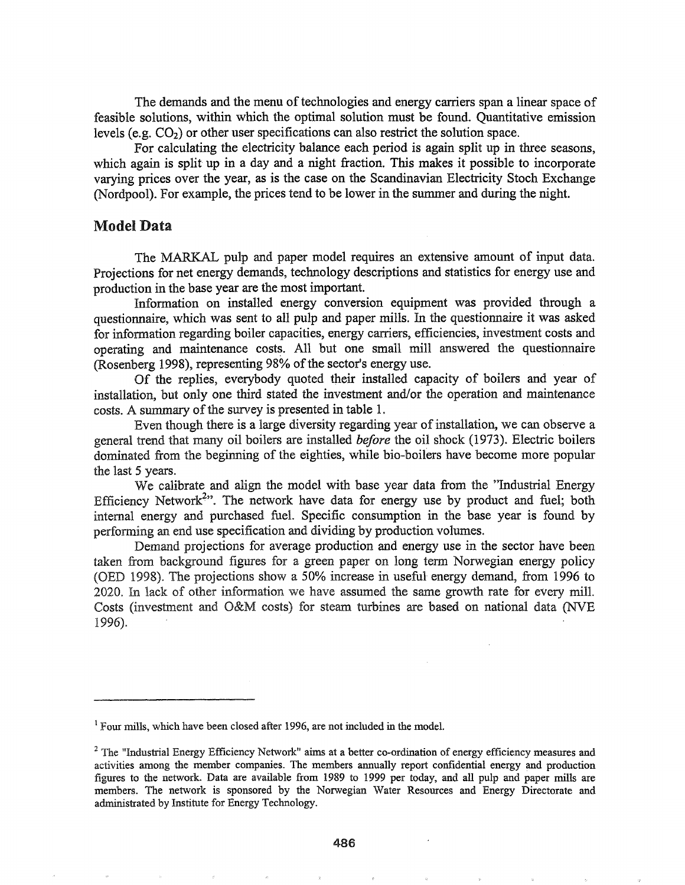The demands and the menu of technologies and energy carriers span a linear space of feasible solutions, within which the optimal solution must be found. Quantitative emission levels (e.g.  $CO<sub>2</sub>$ ) or other user specifications can also restrict the solution space.

For calculating the electricity balance each period is again split up in three seasons, which again is split up in a day and a night fraction. This makes it possible to incorporate varying prices over the year, as is the case on the Scandinavian Electricity Stoch Exchange (Nordpool). For example, the prices tend to be lower in the summer and during the night.

### Model Data

The MARKAL pulp and paper model requires an extensive amount of input data. Projections for net energy demands, technology descriptions and statistics for energy use and production in the base year are the most important.

Information on installed energy conversion equipment was provided through a questionnaire, which was sent to all pulp and paper mills. In the questionnaire it was asked for infonnation regarding boiler capacities, energy carriers, efficiencies, investment costs and operating and maintenance costs. All but one small mill answered the questionnaire (Rosenberg 1998), representing 98% of the sector's energy use.

Of the replies, everybody quoted their installed capacity of boilers and year of installation, but only one third stated the investment and/or the operation and maintenance costs. A summary of the survey is presented in table 1.

Even though there is a large diversity regarding year of installation, we can observe a general trend that many oil boilers are installed *before* the oil shock (1973}. Electric boilers dominated from the beginning of the eighties, while bio-boilers have become more popular the last 5 years.

We calibrate and align the model with base year data from the "Industrial Energy Efficiency Network<sup>2</sup>". The network have data for energy use by product and fuel; both internal energy and purchased fuel. Specific consumption in the base year is found by performing an end use specification and dividing by production volumes.

Demand projections for average production and energy use in the sector have been taken from background figures for a green paper on long term Norwegian energy policy (OED 1998). The projections show a 50% increase in useful energy demand, from 1996 to 2020. In lack of other information we have assumed the same growth rate for every mill. Costs (investment and O&M costs) for steam turbines are based on national data (NVE 1996).

<sup>&</sup>lt;sup>1</sup> Four mills, which have been closed after 1996, are not included in the model.

<sup>&</sup>lt;sup>2</sup> The "Industrial Energy Efficiency Network" aims at a better co-ordination of energy efficiency measures and activities among the member companies. The members annually report confidential energy and production figures to the network. Data are available from 1989 to 1999 per today, and all pulp and paper mills are members. The network is sponsored by the Norwegian Water Resources and Energy Directorate and administrated by Institute for Energy Technology.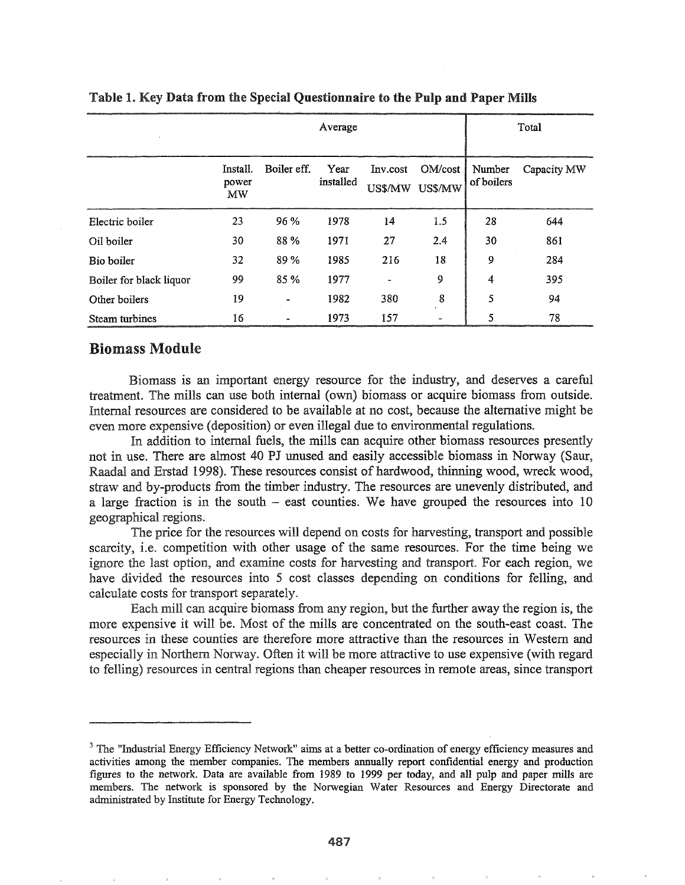|                         | Average                 |             |                   |                          |                    | Total                |             |
|-------------------------|-------------------------|-------------|-------------------|--------------------------|--------------------|----------------------|-------------|
|                         | Install.<br>power<br>MW | Boiler eff. | Year<br>installed | Inv.cost<br>US\$/MW      | OM/cost<br>US\$/MW | Number<br>of boilers | Capacity MW |
| Electric boiler         | 23                      | 96 %        | 1978              | 14                       | 1.5                | 28                   | 644         |
| Oil boiler              | 30                      | 88%         | 1971              | 27                       | 2.4                | 30                   | 861         |
| Bio boiler              | 32                      | 89 %        | 1985              | 216                      | 18                 | 9                    | 284         |
| Boiler for black liquor | 99                      | 85 %        | 1977              | $\overline{\phantom{a}}$ | 9                  | 4                    | 395         |
| Other boilers           | 19                      |             | 1982              | 380                      | 8                  | 5                    | 94          |
| Steam turbines          | 16                      |             | 1973              | 157                      |                    | 5                    | 78          |

### Table I. Key Data from the Special Questionnaire to the Pulp and Paper Mills

### Biomass Module

Biomass is an important energy resource for the industry, and deserves a careful treatment. The mills can use both internal (own) biomass or acquire biomass from outside. Internal resources are considered to be available at no cost, because the alternative might be even more expensive (deposition) or even illegal due to environmental regulations.

In addition to internal fuels, the mills can acquire other biomass resources presently not in use. There are almost 40 PJ unused and easily accessible biomass in Norway (Saur, Raadal and Erstad 1998). These resources consist of hardwood, thinning wood, wreck wood, straw and by-products from the timber industry.. The resources are unevenly distributed, and a large fraction is in the south  $-$  east counties. We have grouped the resources into 10 geographical regions.

The price for the resources will depend on costs for harvesting, transport and possible scarcity, i.e. competition with other usage of the same resources. For the time being we ignore the last option, and examine costs for harvesting and transport For each region, we have divided the resources into 5 cost classes depending on conditions for felling, and calculate costs for transport separately.

Each mill can acquire biomass from any region, but the further away the region is, the more expensive it will be. Most of the mills are concentrated on the south-east coast. The resources in these counties are therefore more attractive than the resources in Western and especially in Northern Norway. Often it will be more attractive to use expensive (with regard to felling) resources in central regions than cheaper resources in remote areas, since transport

<sup>&</sup>lt;sup>3</sup> The "Industrial Energy Efficiency Network" aims at a better co-ordination of energy efficiency measures and activities among the member companies. The members annually report confidential energy and production figures to the network. Data are available from 1989 to 1999 per today, and all pulp and paper mills are members. The network is sponsored by the Norwegian Water Resources and Energy Directorate and administrated by Institute for Energy Technology..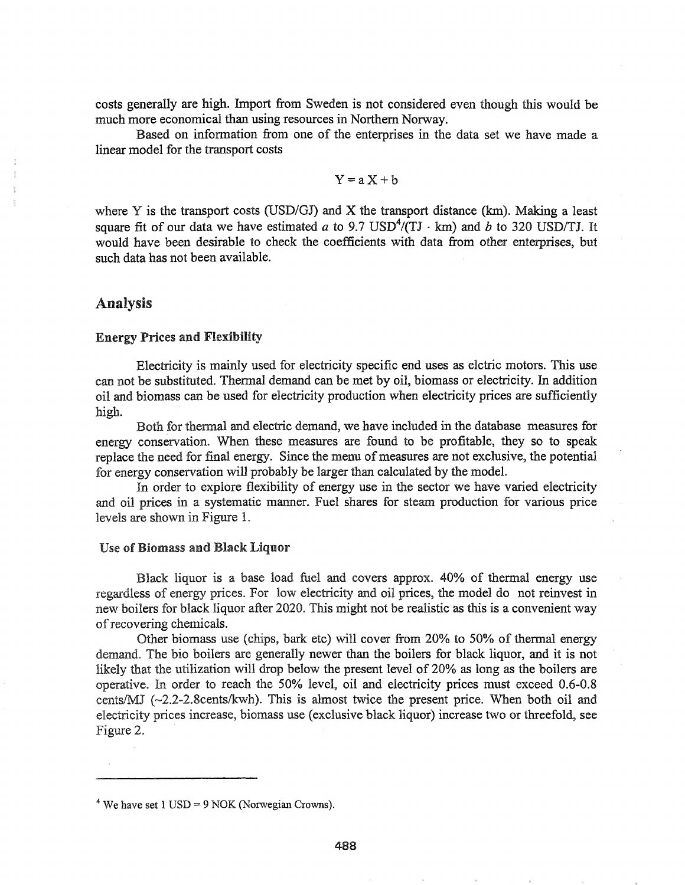costs generally are high. Import from Sweden is not considered even though this would be much more economical than using resources in Northern Norway.

Based on information from one of the enterprises in the data set we have made a linear model for the transport costs

$$
Y = a X + b
$$

where Y is the transport costs (USD/GJ) and X the transport distance (km). Making a least square fit of our data we have estimated a to 9.7 USD<sup>4</sup>/(TJ  $\cdot$  km) and b to 320 USD/TJ. It would have been desirable to check the coefficients with data from other enterprises, but such data has not been available.

## Analysis

#### Energy Prices and Flexibility

Electricity is mainly used for electricity specific end uses as elctric motors. This use can not be substituted.. Thermal demand can be met by oil, biomass or electricity. In addition oil and biomass can be used for electricity production when electricity prices are sufficiently high.

Both for thermal and electric demand, we have included in the database measures for energy conservation. When these measures are found to be profitable, they so to speak replace the need for final energy. Since the menu of measures are not exclusive, the potential for energy conservation will probably be larger than calculated by the model.

In order to explore flexibility of energy use in the sector we have varied electricity and oil prices in a systematic manner. Fuel shares for steam production for various price levels are shown in Figure 1.

### Use of Biomass and Black Liquor

Black liquor is a base load fuel and covers approx. 40% of thermal energy use regardless of energy prices. For low electricity and oil prices, the model do not reinvest in new boilers for black liquor after 2020. This might not be realistic as this is a convenient way ofrecovering chemicals..

Other biomass use (chips, bark etc) will cover from 20% to 50% of thennal energy demand.. The bio boilers are generally newer than the boilers for black liquor, and it is not likely that the utilization will drop below the present level of 20% as long as the boilers are operative. In order to reach the 50% level, oil and electricity prices must exceed 0.6-0.8 cents/MJ  $(\sim 2.2-2.8 \text{cents/kwh})$ . This is almost twice the present price. When both oil and electricity prices increase, biomass use (exclusive black liquor) increase two or threefold, see Figure 2.

 $4$  We have set 1 USD = 9 NOK (Norwegian Crowns).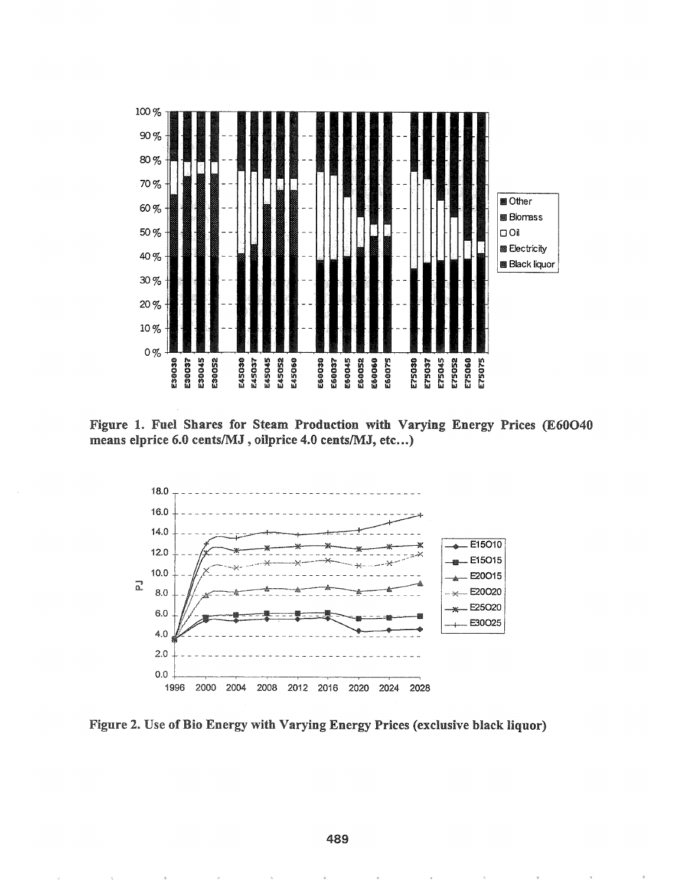

Figure 1. Fuel Shares for Steam Production with Varying Energy Prices (E60O40 means elprice 6.0 cents/MJ, oilprice 4.0 cents/MJ, etc...)



Figure 2. Use of Bio Energy with Varying Energy Prices (exclusive black liquor)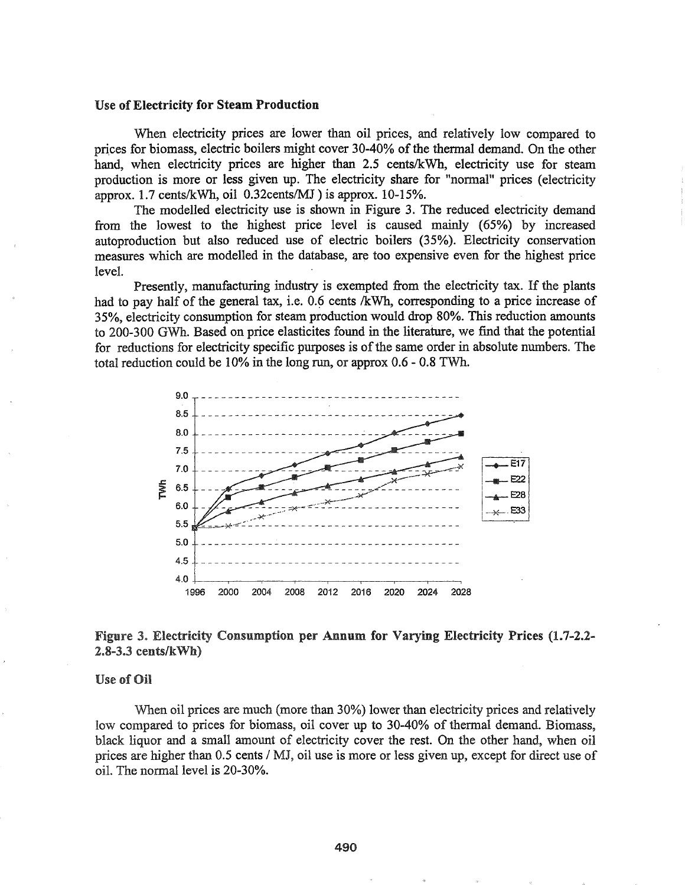#### Use of Electricity for Steam Production

When electricity prices are lower than oil prices, and relatively low compared to prices for biomass, electric boilers might cover 30-40% of the thermal demand. On the other hand, when electricity prices are higher than 2.5 cents/kWh, electricity use for steam production is more or less given up. The electricity share for "normal" prices (electricity approx.  $1.7$  cents/kWh, oil 0.32cents/MJ) is approx.  $10-15\%$ .

The modelled electricity use is shown in Figure 3. The reduced electricity demand from the lowest to the highest price level is caused mainly (65%) by increased autoproduction but also reduced use of electric boilers (35%). Electricity conservation measures which are modelled in the database, are too expensive even for the highest price level.

Presently, manufacturing industry is exempted from the electricity tax. If the plants had to pay half of the general tax, i.e. 0.6 cents /kWh, corresponding to a price increase of 35%, electricity consumption for steam production would drop 80%. This reduction amounts to 200-300 GWh. Based on price elasticites found in the literature, we find that the potential for reductions for electricity specific purposes is of the same order in absolute numbers. The total reduction could be 10% in the long run, or approx 0.6 - 0.8 TWh.



## Figure 3. Electricity Consumption per Annum for Varying Electricity Prices (1.7-2.2- $2.8-3.3$  cents/k $Wh$ )

#### Use of Oil

When oil prices are much (more than 30%) lower than electricity prices and relatively low compared to prices for biomass, oil cover up to 30-40% of thermal demand. Biomass, black liquor and a small amount of electricity cover the rest. On the other hand, when oil prices are higher than 0.5 cents / MJ, oil use is more or less given up, except for direct use of oiL The normal level is 20-30%.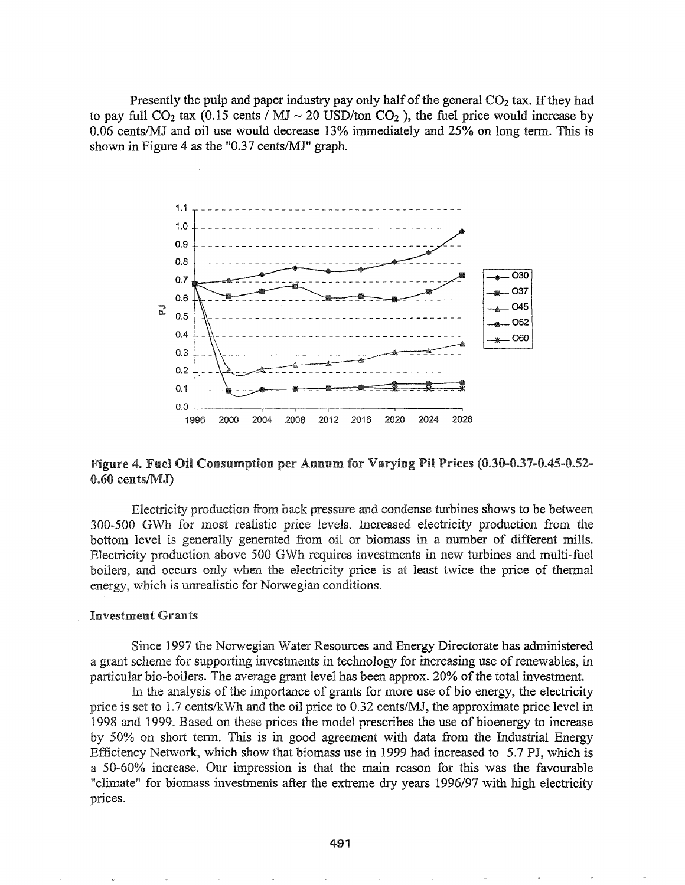Presently the pulp and paper industry pay only half of the general  $CO<sub>2</sub>$  tax. If they had to pay full  $CO_2$  tax (0.15 cents */* MJ  $\sim$  20 USD/ton  $CO_2$ ), the fuel price would increase by 0.06 cents/MJ and oil use would decrease 13% immediately and 25% on long tenn. This is shown in Figure 4 as the "0.37 cents/MJ" graph.



### Figure 4. Fuel Oil Consumption per Annum for Varying Pil Prices (0.30-0.37-0.45-0.52- $0.60$  cents/ $MJ$ )

Electricity production from back pressure and condense turbines shows to be between 300-500 GWh for most realistic price levels. Increased electricity production from the bottom level is generally generated from oil or biomass in a number of different mills. Electricity production above 500 GWh requires investments in new turbines and multi-fuel boilers, and occurs only when the electricity price is at least twice the price of thermal energy, which is unrealistic for Norwegian conditions.

#### **Investment Grants**

Since 1997 the Norwegian Water Resources and Energy Directorate has administered a grant scheme for supporting investments in technology for increasing use of renewables, in particular bio-boilers. The average grant level has been approx. 20% of the total investment.

In the analysis of the importance of grants for more use of bio energy, the electricity price is set to  $1.7$  cents/kWh and the oil price to  $0.32$  cents/MJ, the approximate price level in 1999. Based on these prices the model prescribes the use of bioenergy to increase 50% on short term. This is in good agreement with data from the Industrial Energy Efficiency Netvvork, which show that biomass use in 1999 had increased to 5.7 PJ, which is a 50-60% increase. Our impression is that the main reason for this was the favourable "climate" for biomass investments after the extreme dry years 1996/97 with high electricity prices.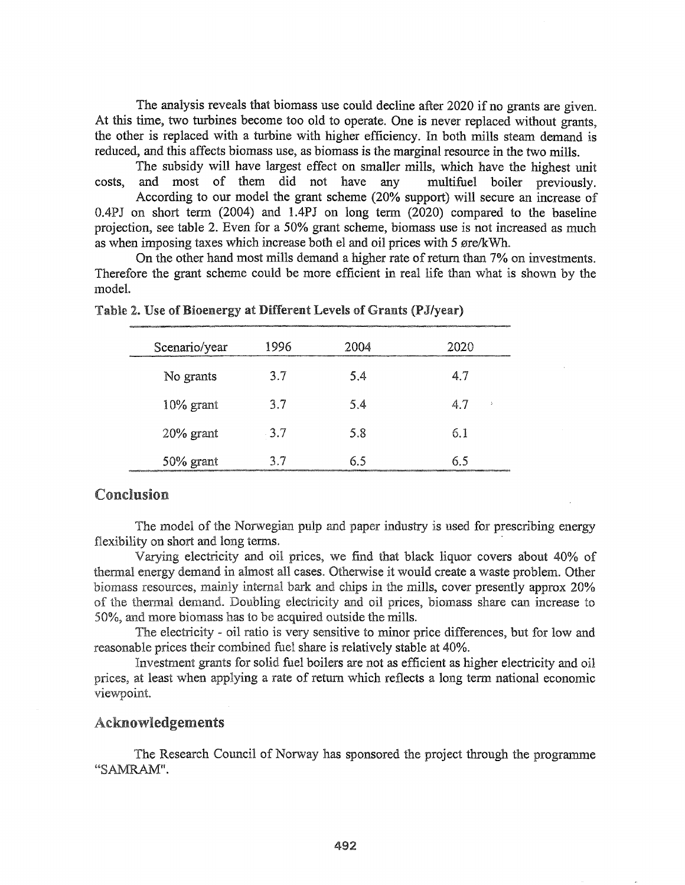The analysis reveals that biomass use could decline after 2020 if no grants are given. At this time, two turbines become too old to operate. One is never replaced without grants, the other is replaced with a turbine with higher efficiency. In both mills steam demand is reduced, and this affects biomass use, as biomass is the marginal resource in the two mills.

The subsidy will have largest effect on smaller mills, which have the highest unit costs, and most of them did not have any multifuel boiler previously. According to our model the grant scheme (20% support) will secure an increase of O.4PJ on short tenn (2004) and 1.4PJ on long term (2020) compared to the baseline projection, see table 2. Even for a 50% grant scheme, biomass use is not increased as much as when imposing taxes which increase both el and oil prices with 5 ere/kWh.

On the other hand most mills demand a higher rate of return than 7% on investments. Therefore the grant scheme could be more efficient in real life than what is shown by the model.

| voorvoorvaarganisme een vir de maakta voorval van de gebruik van de gebruik van de van de van de van de van de |        |      |      |  |
|----------------------------------------------------------------------------------------------------------------|--------|------|------|--|
| Scenario/year                                                                                                  | 1996   | 2004 | 2020 |  |
| No grants                                                                                                      | 3.7    | 5.4  | 4.7  |  |
| $10\%$ grant                                                                                                   | 3.7    | 5.4  | 4.7  |  |
| $20\%$ grant                                                                                                   | $-3.7$ | 5.8  | 6.1  |  |
| 50% grant                                                                                                      | 3.7    | 6.5  | 6.5  |  |

Table 2. Use of Bioenergy at Different Levels of Grants (PJ/year)

## Conclusion

The model of the Norwegian pulp and paper industry is used for prescribing energy flexibility on short and long terms.

Varying electricity and oil prices, we find that black liquor covers about 40% of thermal energy demand in almost all cases. Otherwise it would create a waste problem. Other biomass resources, mainly internal bark and chips in the mills, cover presently approx 20% of the thermal demand. Doubling electricity and oil prices, biomass share can increase to 50%, and more biomass has to be acquired outside the mills..

The electricity - oil ratio is very sensitive to minor price differences, but for low and reasonable prices their combined fuel share is relatively stable at 40%.

Investment grants for solid fuel boilers are not as efficient as higher electricity and oil prices, at least when applying a rate of return which reflects a long term national economic viewpoint.

### Acknowledgements

The Research Council of Norway has sponsored the project through the programme "SAMRAM".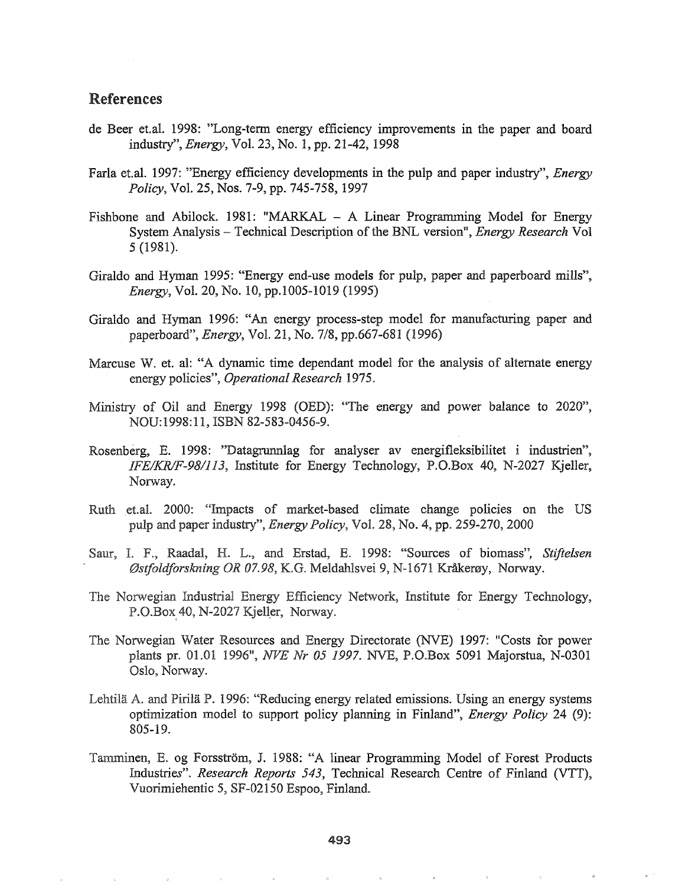## References

- de Beer et.aL 1998: "Long-term energy efficiency improvements in the paper and board industry", *Energy,* VoL 23, No.1, pp. 21-42, 1998
- FarIa et.aL 1997: "Energy efficiency developments in the pulp and paper industry", *Energy Policy,* Vol. 25, Nos. 7-9, pp. 745-758, 1997
- Fishbone and Abilock. 1981: "MARKAL  $-$  A Linear Programming Model for Energy System Analysis – Technical Description of the BNL version", *Energy Research* Vol 5 (1981).
- Giraldo and Hyman 1995: "Energy end-use models for pulp, paper and paperboard mills", *Energy,* Vol. 20, No. 10, pp.l005-1019 (1995)
- Giraldo and Hyman 1996: "An energy process-step model for manufacturing paper and paperboard", *Energy,* Vol. 21, No. 7/8, pp.667-681 (1996)
- Marcuse W. et. al: "A dynamic time dependant model for the analysis of alternate energy energy policies", *Operational Research 1975.*
- Ministry of Oil and Energy 1998 (OED): "The energy and power balance to 2020", NOU:1998:11, ISBN 82-583-0456-9.
- Rosenberg, E. 1998: "Datagrunnlag for analyser av energifleksibilitet i industrien", *IFE/KRIF-98/113,* Institute for Energy Technology, *P.D.Box* 40, N-2027 Kjeller, Norway.
- Ruth et.al. 2000: "Impacts of market-based climate change policies on the US pulp and paper industry", *Energy Policy*, Vol. 28, No. 4, pp. 259-270, 2000
- Saur, I. F., Raadal, H. L., and Erstad, E. 1998: "Sources of biomass", *Stiftelsen* Østfoldforskning OR 07.98, K.G. Meldahlsvei 9, N-1671 Kråkerøy, Norway.
- The Norwegian Industrial Energy Efficiency Network, Institute for Energy Technology, P.O.Box 40, N-2027 Kjeller, Norway.
- The Norwegian Water Resources and Energy Directorate (NVE) 1997: "Costs for power plants pre 01 1996", *NVE Nr 05* 1997. NVE, P.O.Box 5091 Majorstua, N-0301 Oslo, Norway.
- Lehtilä A. and Pirilä P. 1996: "Reducing energy related emissions. Using an energy systems optimization model to support policy planning in Finland", *Energy Policy* 24 (9): 805-19.
- Tamminen, E. og Forsström, J. 1988: "A linear Programming Model of Forest Products Industries". *Research Reports* 543, Technical Research Centre of Finland (VTT), Vuorimiehentic 5, SF-02ISO Espoo, Finland.